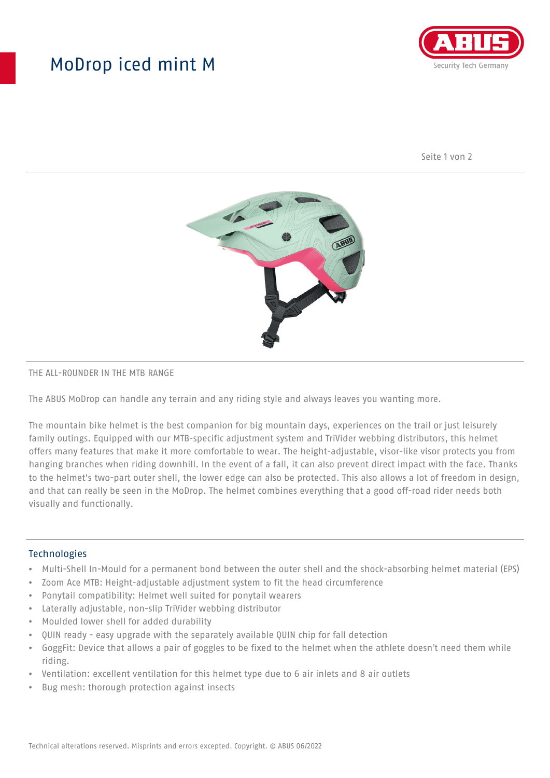## MoDrop iced mint M



Seite 1 von 2



#### THE ALL-ROUNDER IN THE MTB RANGE

The ABUS MoDrop can handle any terrain and any riding style and always leaves you wanting more.

The mountain bike helmet is the best companion for big mountain days, experiences on the trail or just leisurely family outings. Equipped with our MTB-specific adjustment system and TriVider webbing distributors, this helmet offers many features that make it more comfortable to wear. The height-adjustable, visor-like visor protects you from hanging branches when riding downhill. In the event of a fall, it can also prevent direct impact with the face. Thanks to the helmet's two-part outer shell, the lower edge can also be protected. This also allows a lot of freedom in design, and that can really be seen in the MoDrop. The helmet combines everything that a good off-road rider needs both visually and functionally.

#### **Technologies**

- Multi-Shell In-Mould for a permanent bond between the outer shell and the shock-absorbing helmet material (EPS)
- Zoom Ace MTB: Height-adjustable adjustment system to fit the head circumference
- Ponytail compatibility: Helmet well suited for ponytail wearers
- Laterally adjustable, non-slip TriVider webbing distributor
- Moulded lower shell for added durability
- QUIN ready easy upgrade with the separately available QUIN chip for fall detection
- GoggFit: Device that allows a pair of goggles to be fixed to the helmet when the athlete doesn't need them while riding.
- Ventilation: excellent ventilation for this helmet type due to 6 air inlets and 8 air outlets
- Bug mesh: thorough protection against insects